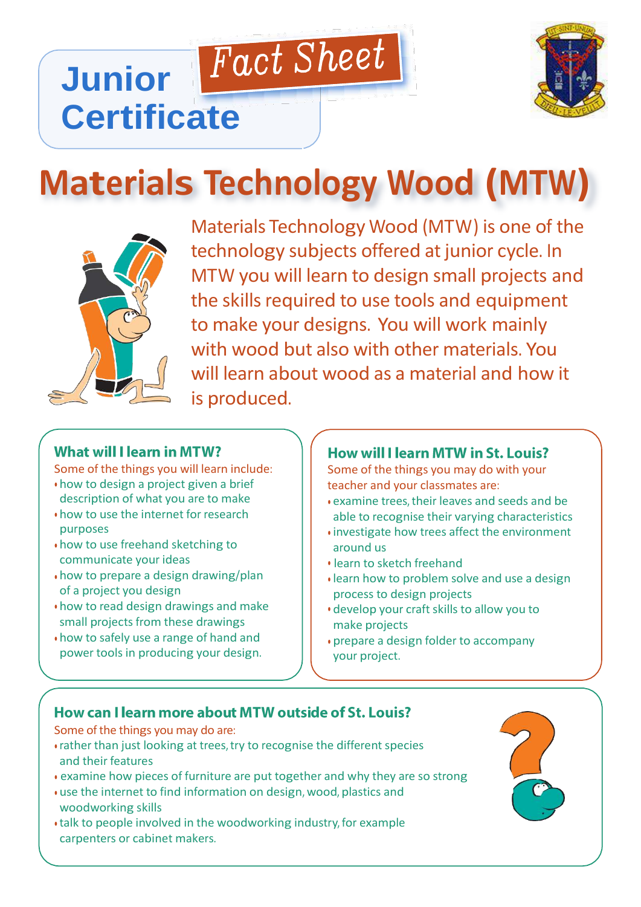

# **Materials Technology Wood (MTW)**

Fact Sheet



**Junior** 

**Certificate**

Materials Technology Wood (MTW) is one of the technology subjects offered at junior cycle. In MTW you will learn to design small projects and the skills required to use tools and equipment to make your designs. You will work mainly with wood but also with other materials. You will learn about wood as a material and how it is produced.

#### **What will I learn in MTW?**

Some of the things you will learn include:

- how to design a project given a brief description of what you are to make
- how to use the internet for research purposes
- how to use freehand sketching to communicate your ideas
- how to prepare a design drawing/plan of a project you design
- how to read design drawings and make small projects from these drawings
- how to safely use a range of hand and power tools in producing your design.

#### How will I learn MTW in St. Louis?

Some of the things you may do with your teacher and your classmates are:

- examine trees, their leaves and seeds and be able to recognise their varying characteristics
- investigate how trees affect the environment around us
- learn to sketch freehand
- learn how to problem solve and use a design process to design projects
- develop your craft skills to allow you to make projects
- prepare a design folder to accompany your project.

## How can I learn more about MTW outside of St. Louis?

Some of the things you may do are:

- rather than just looking at trees, try to recognise the different species and their features
- examine how pieces of furniture are put together and why they are so strong
- use the internet to find information on design, wood, plastics and woodworking skills
- talk to people involved in the woodworking industry, for example carpenters or cabinet makers.